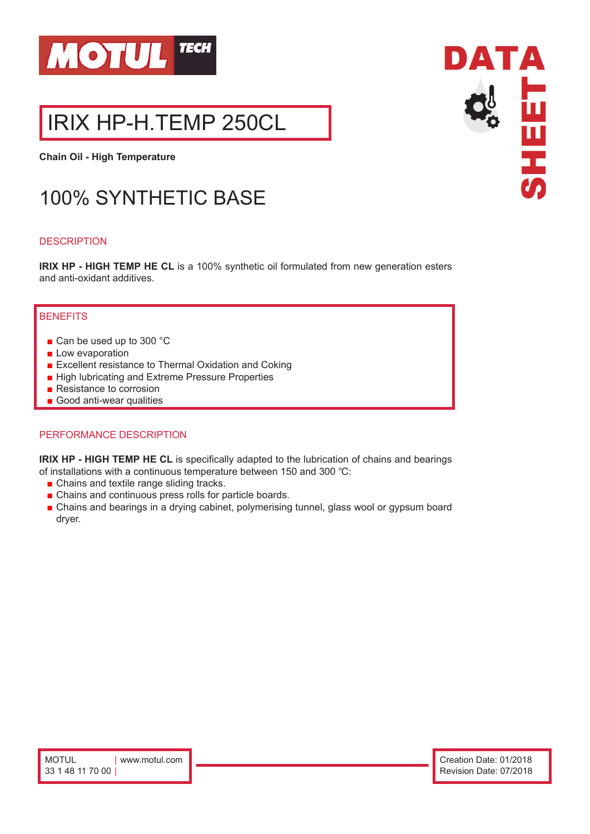

# IRIX HP-H.TEMP 250CL

**Chain Oil - High Temperature**

# 100% SYNTHETIC BASE

### **DESCRIPTION**

**IRIX HP - HIGH TEMP HE CL** is a 100% synthetic oil formulated from new generation esters and anti-oxidant additives.

# **BENEFITS**

- Can be used up to 300 °C
- Low evaporation
- Excellent resistance to Thermal Oxidation and Coking
- High lubricating and Extreme Pressure Properties
- Resistance to corrosion
- Good anti-wear qualities

#### PERFORMANCE DESCRIPTION

**IRIX HP - HIGH TEMP HE CL** is specifically adapted to the lubrication of chains and bearings of installations with a continuous temperature between 150 and 300 ℃:

- Chains and textile range sliding tracks.
- Chains and continuous press rolls for particle boards.
- Chains and bearings in a drying cabinet, polymerising tunnel, glass wool or gypsum board dryer.